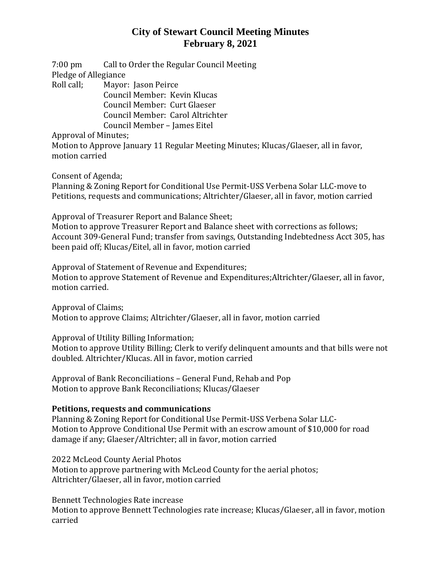# **City of Stewart Council Meeting Minutes February 8, 2021**

7:00 pm Call to Order the Regular Council Meeting Pledge of Allegiance

Roll call; Mayor: Jason Peirce

Council Member: Kevin Klucas Council Member: Curt Glaeser Council Member: Carol Altrichter Council Member – James Eitel

Approval of Minutes;

Motion to Approve January 11 Regular Meeting Minutes; Klucas/Glaeser, all in favor, motion carried

Consent of Agenda;

Planning & Zoning Report for Conditional Use Permit-USS Verbena Solar LLC-move to Petitions, requests and communications; Altrichter/Glaeser, all in favor, motion carried

Approval of Treasurer Report and Balance Sheet;

Motion to approve Treasurer Report and Balance sheet with corrections as follows; Account 309-General Fund; transfer from savings, Outstanding Indebtedness Acct 305, has been paid off; Klucas/Eitel, all in favor, motion carried

Approval of Statement of Revenue and Expenditures; Motion to approve Statement of Revenue and Expenditures;Altrichter/Glaeser, all in favor, motion carried.

Approval of Claims; Motion to approve Claims; Altrichter/Glaeser, all in favor, motion carried

Approval of Utility Billing Information;

Motion to approve Utility Billing; Clerk to verify delinquent amounts and that bills were not doubled. Altrichter/Klucas. All in favor, motion carried

Approval of Bank Reconciliations – General Fund, Rehab and Pop Motion to approve Bank Reconciliations; Klucas/Glaeser

### **Petitions, requests and communications**

Planning & Zoning Report for Conditional Use Permit-USS Verbena Solar LLC-Motion to Approve Conditional Use Permit with an escrow amount of \$10,000 for road damage if any; Glaeser/Altrichter; all in favor, motion carried

2022 McLeod County Aerial Photos Motion to approve partnering with McLeod County for the aerial photos; Altrichter/Glaeser, all in favor, motion carried

Bennett Technologies Rate increase Motion to approve Bennett Technologies rate increase; Klucas/Glaeser, all in favor, motion carried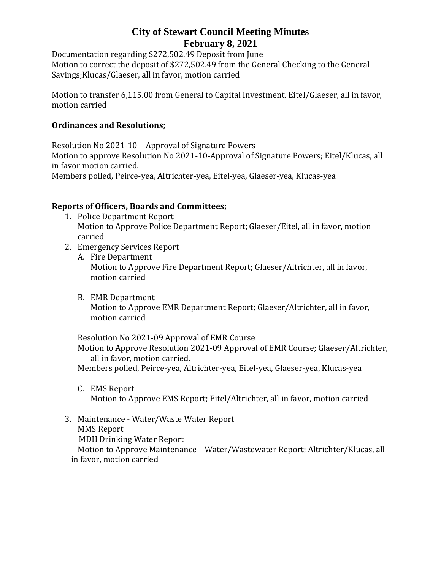# **City of Stewart Council Meeting Minutes February 8, 2021**

Documentation regarding \$272,502.49 Deposit from June Motion to correct the deposit of \$272,502.49 from the General Checking to the General Savings;Klucas/Glaeser, all in favor, motion carried

Motion to transfer 6,115.00 from General to Capital Investment. Eitel/Glaeser, all in favor, motion carried

### **Ordinances and Resolutions;**

Resolution No 2021-10 – Approval of Signature Powers Motion to approve Resolution No 2021-10-Approval of Signature Powers; Eitel/Klucas, all in favor motion carried. Members polled, Peirce-yea, Altrichter-yea, Eitel-yea, Glaeser-yea, Klucas-yea

#### **Reports of Officers, Boards and Committees;**

- 1. Police Department Report Motion to Approve Police Department Report; Glaeser/Eitel, all in favor, motion carried
- 2. Emergency Services Report
	- A. Fire Department Motion to Approve Fire Department Report; Glaeser/Altrichter, all in favor, motion carried
	- B. EMR Department Motion to Approve EMR Department Report; Glaeser/Altrichter, all in favor, motion carried

Resolution No 2021-09 Approval of EMR Course Motion to Approve Resolution 2021-09 Approval of EMR Course; Glaeser/Altrichter, all in favor, motion carried.

Members polled, Peirce-yea, Altrichter-yea, Eitel-yea, Glaeser-yea, Klucas-yea

C. EMS Report

Motion to Approve EMS Report; Eitel/Altrichter, all in favor, motion carried

3. Maintenance - Water/Waste Water Report MMS Report

MDH Drinking Water Report

Motion to Approve Maintenance – Water/Wastewater Report; Altrichter/Klucas, all in favor, motion carried